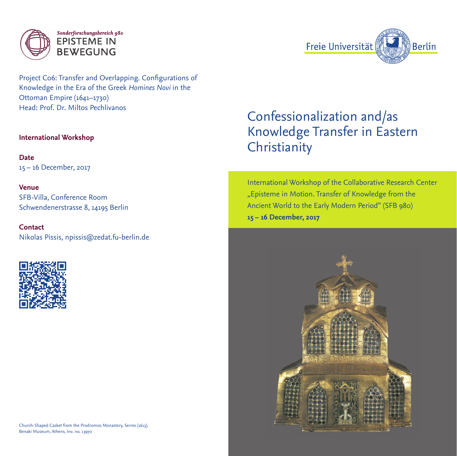

Project C06: Transfer and Overlapping. Configurations of Knowledge in the Era of the Greek *Homines Novi* in the Ottoman Empire (1641–1730) Head: Prof. Dr. Miltos Pechlivanos

# **International Workshop**

**Date** 15 – 16 December, 2017

**Venue** SFB-Villa, Conference Room Schwendenerstrasse 8, 14195 Berlin

**Contact** Nikolas Pissis, npissis@zedat.fu-berlin.de



Church-Shaped Casket from the Prodromos Monastery, Serres (1613). Benaki Museum, Athens, Inv. no. 13970



International Workshop of the Collaborative Research Center "Episteme in Motion. Transfer of Knowledge from the Ancient World to the Early Modern Period" (SFB 980) **15 – 16 December, 2017**